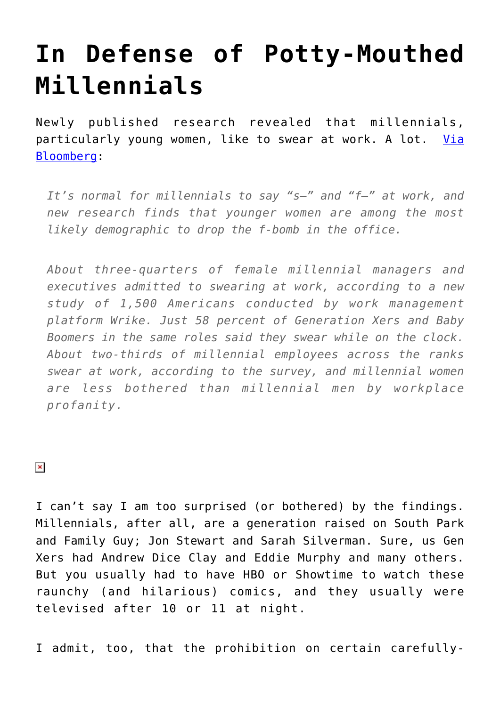## **[In Defense of Potty-Mouthed](https://intellectualtakeout.org/2016/10/in-defense-of-potty-mouthed-millennials/) [Millennials](https://intellectualtakeout.org/2016/10/in-defense-of-potty-mouthed-millennials/)**

Newly published research revealed that millennials, particularly young women, like to swear at work. A lot. [Via](https://www.bloomberg.com/news/articles/2016-10-10/eff-millennials-this-generation-is-most-likely-to-swear-at-work) [Bloomberg:](https://www.bloomberg.com/news/articles/2016-10-10/eff-millennials-this-generation-is-most-likely-to-swear-at-work)

*It's normal for millennials to say "s—" and "f—" at work, and new research finds that younger women are among the most likely demographic to drop the f-bomb in the office.*

*About three-quarters of female millennial managers and executives admitted to swearing at work, according to a new study of 1,500 Americans conducted by work management platform Wrike. Just 58 percent of Generation Xers and Baby Boomers in the same roles said they swear while on the clock. About two-thirds of millennial employees across the ranks swear at work, according to the survey, and millennial women are less bothered than millennial men by workplace profanity.* 

 $\pmb{\times}$ 

I can't say I am too surprised (or bothered) by the findings. Millennials, after all, are a generation raised on South Park and Family Guy; Jon Stewart and Sarah Silverman. Sure, us Gen Xers had Andrew Dice Clay and Eddie Murphy and many others. But you usually had to have HBO or Showtime to watch these raunchy (and hilarious) comics, and they usually were televised after 10 or 11 at night.

I admit, too, that the prohibition on certain carefully-